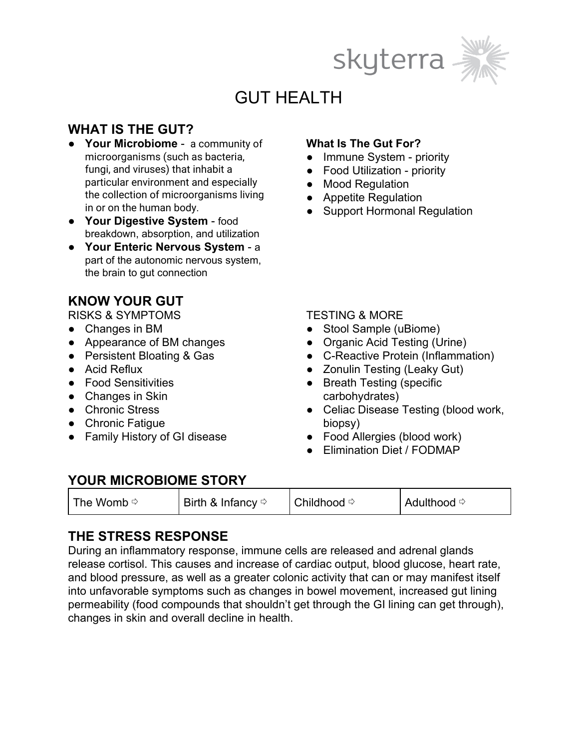



# GUT HEALTH

# **WHAT IS THE GUT?**

- **Your Microbiome** a community of microorganisms (such as bacteria, fungi, and viruses) that inhabit a particular environment and especially the collection of microorganisms living in or on the human body.
- **Your Digestive System** food breakdown, absorption, and utilization
- **Your Enteric Nervous System** a part of the autonomic nervous system, the brain to gut connection

## **KNOW YOUR GUT**

RISKS & SYMPTOMS

- Changes in BM
- Appearance of BM changes
- Persistent Bloating & Gas
- Acid Reflux
- Food Sensitivities
- Changes in Skin
- Chronic Stress
- Chronic Fatigue
- Family History of GI disease

#### **What Is The Gut For?**

- Immune System priority
- Food Utilization priority
- Mood Regulation
- Appetite Regulation
- Support Hormonal Regulation

#### TESTING & MORE

- Stool Sample (uBiome)
- Organic Acid Testing (Urine)
- C-Reactive Protein (Inflammation)
- Zonulin Testing (Leaky Gut)
- Breath Testing (specific carbohydrates)
- Celiac Disease Testing (blood work, biopsy)
- Food Allergies (blood work)
- Elimination Diet / FODMAP

### **YOUR MICROBIOME STORY**

| $\parallel$ Birth & Infancy $\Leftrightarrow$ |  |
|-----------------------------------------------|--|
|                                               |  |

### **THE STRESS RESPONSE**

During an inflammatory response, immune cells are released and adrenal glands release cortisol. This causes and increase of cardiac output, blood glucose, heart rate, and blood pressure, as well as a greater colonic activity that can or may manifest itself into unfavorable symptoms such as changes in bowel movement, increased gut lining permeability (food compounds that shouldn't get through the GI lining can get through), changes in skin and overall decline in health.